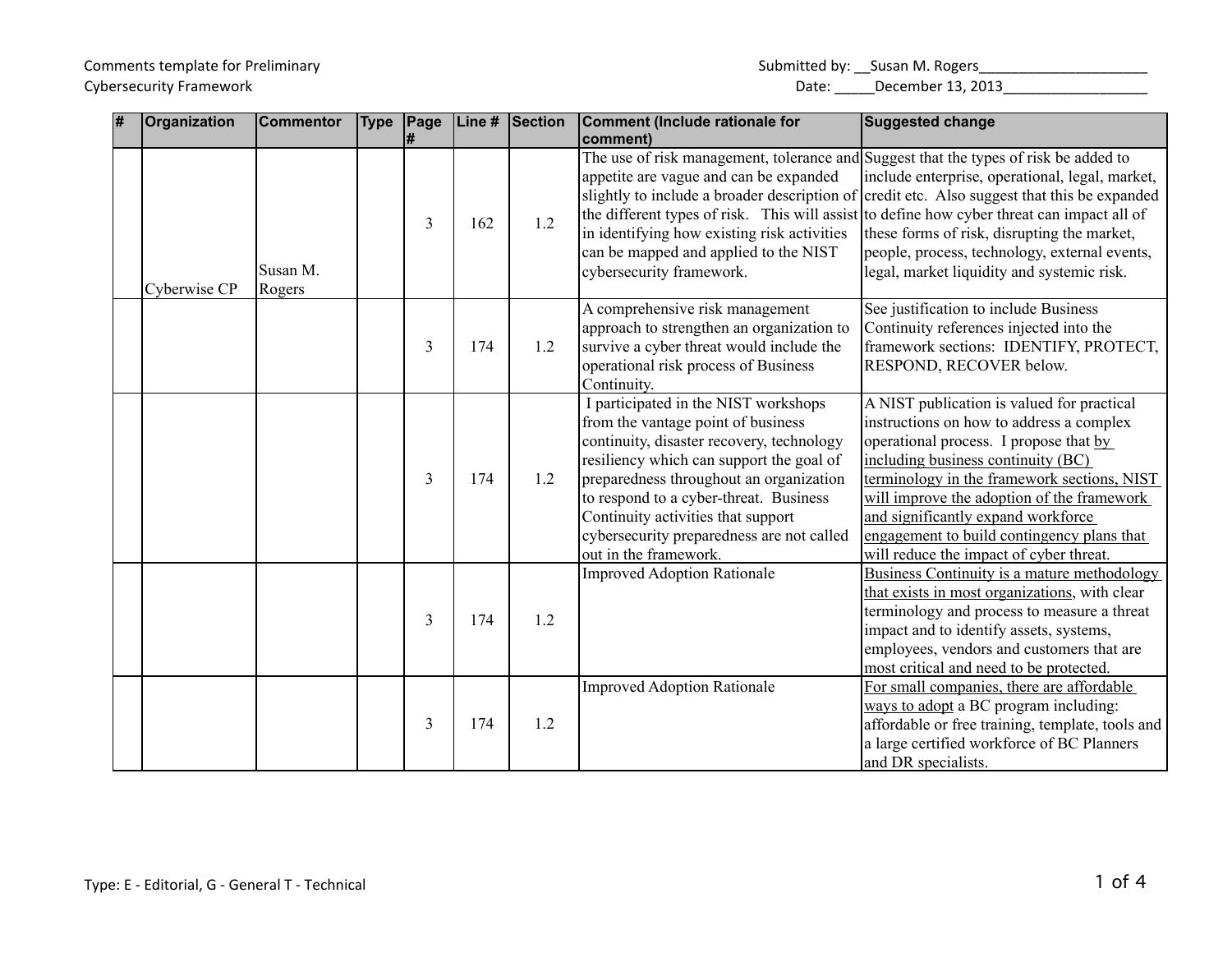## Comments template for Preliminary Submitted by: \_\_Susan M. Rogers\_\_\_\_\_\_\_\_\_\_\_\_\_\_\_\_\_\_\_\_\_ Cybersecurity Framework **Date:** 2013 Cybersecurity Framework Date: 2013 Date: 2013 Date: 2013

| # | Organization | <b>Commentor</b>   | <b>Type</b> | Page |     | Line # Section | <b>Comment (Include rationale for</b><br>comment)                                                                                                                                                                                                                                                                                                                    | Suggested change                                                                                                                                                                                                                                                                                                                                                                                   |
|---|--------------|--------------------|-------------|------|-----|----------------|----------------------------------------------------------------------------------------------------------------------------------------------------------------------------------------------------------------------------------------------------------------------------------------------------------------------------------------------------------------------|----------------------------------------------------------------------------------------------------------------------------------------------------------------------------------------------------------------------------------------------------------------------------------------------------------------------------------------------------------------------------------------------------|
|   | Cyberwise CP | Susan M.<br>Rogers |             | 3    | 162 | 1.2            | The use of risk management, tolerance and Suggest that the types of risk be added to<br>appetite are vague and can be expanded<br>in identifying how existing risk activities<br>can be mapped and applied to the NIST<br>cybersecurity framework.                                                                                                                   | include enterprise, operational, legal, market,<br>slightly to include a broader description of credit etc. Also suggest that this be expanded<br>the different types of risk. This will assist to define how cyber threat can impact all of<br>these forms of risk, disrupting the market,<br>people, process, technology, external events,<br>legal, market liquidity and systemic risk.         |
|   |              |                    |             | 3    | 174 | 1.2            | A comprehensive risk management<br>approach to strengthen an organization to<br>survive a cyber threat would include the<br>operational risk process of Business<br>Continuity.                                                                                                                                                                                      | See justification to include Business<br>Continuity references injected into the<br>framework sections: IDENTIFY, PROTECT,<br>RESPOND, RECOVER below.                                                                                                                                                                                                                                              |
|   |              |                    |             | 3    | 174 | 1.2            | I participated in the NIST workshops<br>from the vantage point of business<br>continuity, disaster recovery, technology<br>resiliency which can support the goal of<br>preparedness throughout an organization<br>to respond to a cyber-threat. Business<br>Continuity activities that support<br>cybersecurity preparedness are not called<br>out in the framework. | A NIST publication is valued for practical<br>instructions on how to address a complex<br>operational process. I propose that by<br>including business continuity (BC)<br>terminology in the framework sections, NIST<br>will improve the adoption of the framework<br>and significantly expand workforce<br>engagement to build contingency plans that<br>will reduce the impact of cyber threat. |
|   |              |                    |             | 3    | 174 | 1.2            | <b>Improved Adoption Rationale</b>                                                                                                                                                                                                                                                                                                                                   | Business Continuity is a mature methodology<br>that exists in most organizations, with clear<br>terminology and process to measure a threat<br>impact and to identify assets, systems,<br>employees, vendors and customers that are<br>most critical and need to be protected.                                                                                                                     |
|   |              |                    |             | 3    | 174 | 1.2            | <b>Improved Adoption Rationale</b>                                                                                                                                                                                                                                                                                                                                   | For small companies, there are affordable<br>ways to adopt a BC program including:<br>affordable or free training, template, tools and<br>a large certified workforce of BC Planners<br>and DR specialists.                                                                                                                                                                                        |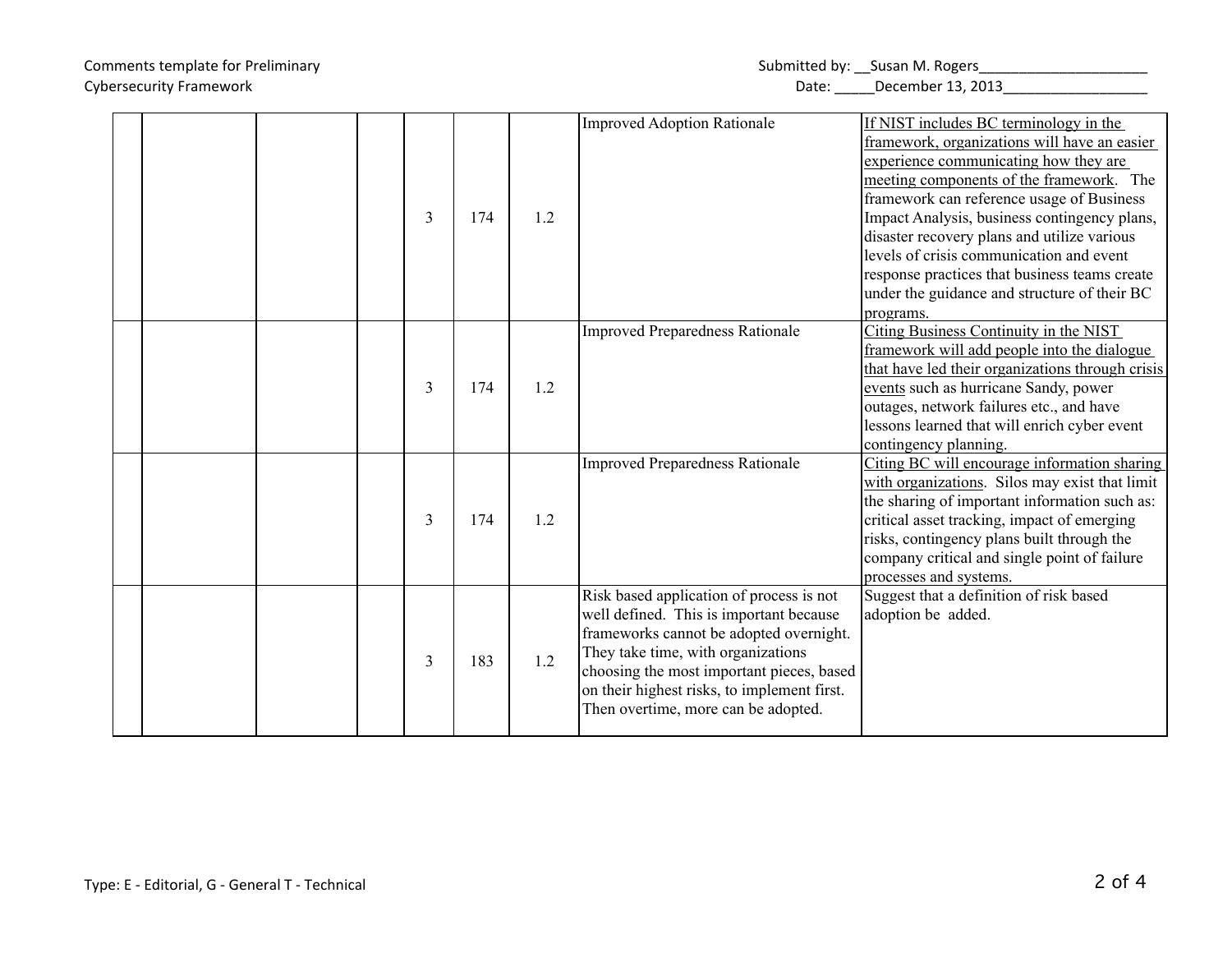# Comments template for Preliminary Submitted by:  $\mathsf{S}$ usan M. Rogers Cybersecurity Framework **Date:** Letter Date: Letter Date: Letter Date: Letter December 13, 2013

| ubmitted by: __Susan M. Rogers |  |  |
|--------------------------------|--|--|
|                                |  |  |

|  |  | 3 | 174 | 1.2 | <b>Improved Adoption Rationale</b>                                                                                                                                                                                                                                                                      | If NIST includes BC terminology in the<br>framework, organizations will have an easier<br>experience communicating how they are<br>meeting components of the framework. The<br>framework can reference usage of Business<br>Impact Analysis, business contingency plans,<br>disaster recovery plans and utilize various<br>levels of crisis communication and event<br>response practices that business teams create<br>under the guidance and structure of their BC<br>programs. |
|--|--|---|-----|-----|---------------------------------------------------------------------------------------------------------------------------------------------------------------------------------------------------------------------------------------------------------------------------------------------------------|-----------------------------------------------------------------------------------------------------------------------------------------------------------------------------------------------------------------------------------------------------------------------------------------------------------------------------------------------------------------------------------------------------------------------------------------------------------------------------------|
|  |  | 3 | 174 | 1.2 | <b>Improved Preparedness Rationale</b>                                                                                                                                                                                                                                                                  | Citing Business Continuity in the NIST<br>framework will add people into the dialogue<br>that have led their organizations through crisis<br>events such as hurricane Sandy, power<br>outages, network failures etc., and have<br>lessons learned that will enrich cyber event<br>contingency planning.                                                                                                                                                                           |
|  |  | 3 | 174 | 1.2 | <b>Improved Preparedness Rationale</b>                                                                                                                                                                                                                                                                  | Citing BC will encourage information sharing<br>with organizations. Silos may exist that limit<br>the sharing of important information such as:<br>critical asset tracking, impact of emerging<br>risks, contingency plans built through the<br>company critical and single point of failure<br>processes and systems.                                                                                                                                                            |
|  |  | 3 | 183 | 1.2 | Risk based application of process is not<br>well defined. This is important because<br>frameworks cannot be adopted overnight.<br>They take time, with organizations<br>choosing the most important pieces, based<br>on their highest risks, to implement first.<br>Then overtime, more can be adopted. | Suggest that a definition of risk based<br>adoption be added.                                                                                                                                                                                                                                                                                                                                                                                                                     |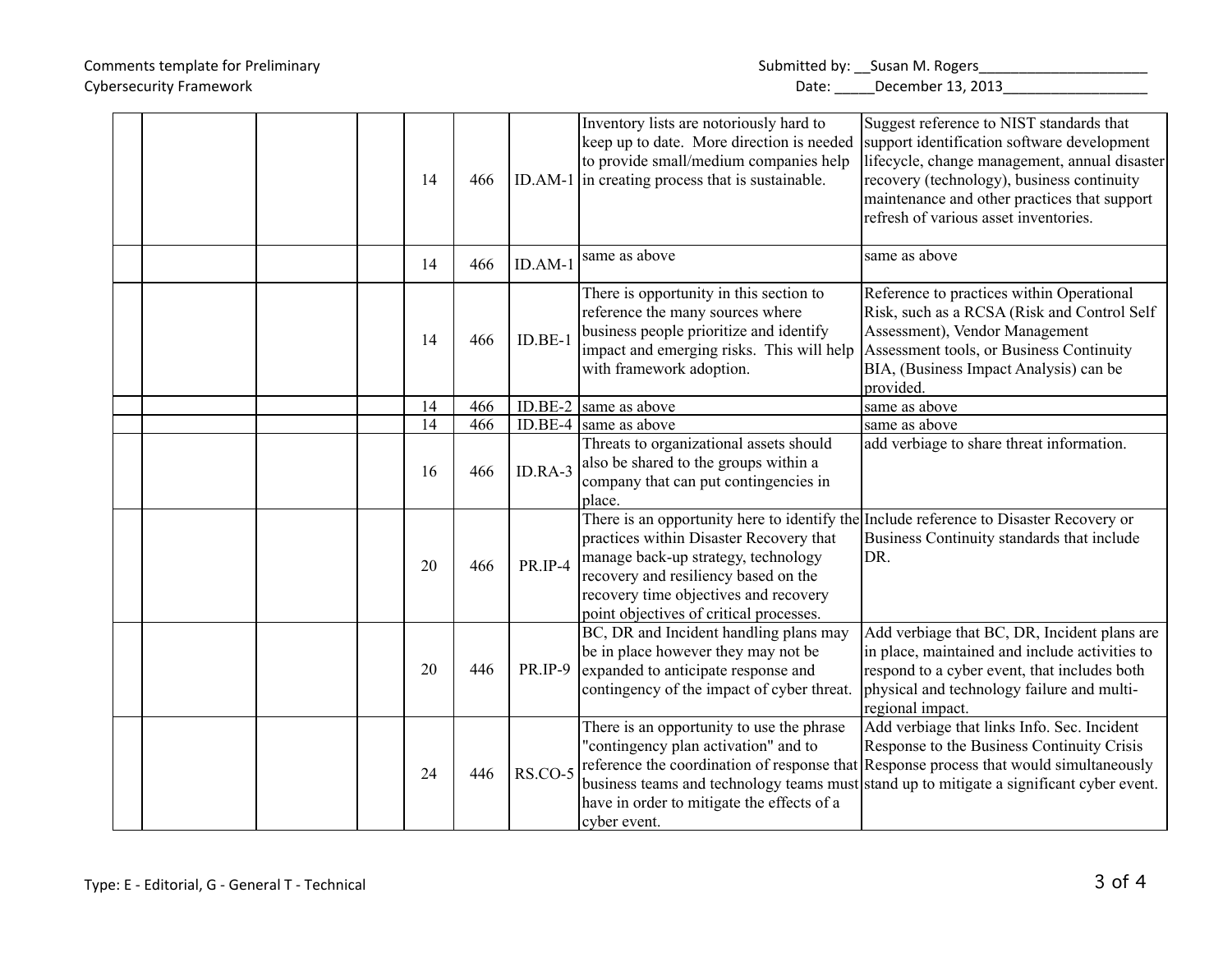## Comments template for Preliminary Submitted by: \_\_Susan M. Rogers\_\_\_\_\_\_\_\_\_\_\_\_\_\_\_\_\_\_\_\_\_ Cybersecurity Framework **Date:** 2013 Cybersecurity Framework Date: 2013 Date: 2013 Date: 2013

|  |  | 14 | 466 |           | Inventory lists are notoriously hard to<br>keep up to date. More direction is needed<br>to provide small/medium companies help<br>ID.AM-1 in creating process that is sustainable.                                                                                                                   | Suggest reference to NIST standards that<br>support identification software development<br>lifecycle, change management, annual disaster<br>recovery (technology), business continuity<br>maintenance and other practices that support<br>refresh of various asset inventories. |
|--|--|----|-----|-----------|------------------------------------------------------------------------------------------------------------------------------------------------------------------------------------------------------------------------------------------------------------------------------------------------------|---------------------------------------------------------------------------------------------------------------------------------------------------------------------------------------------------------------------------------------------------------------------------------|
|  |  | 14 | 466 | $ID.AM-1$ | same as above                                                                                                                                                                                                                                                                                        | same as above                                                                                                                                                                                                                                                                   |
|  |  | 14 | 466 | $ID.BE-1$ | There is opportunity in this section to<br>reference the many sources where<br>business people prioritize and identify<br>impact and emerging risks. This will help<br>with framework adoption.                                                                                                      | Reference to practices within Operational<br>Risk, such as a RCSA (Risk and Control Self<br>Assessment), Vendor Management<br>Assessment tools, or Business Continuity<br>BIA, (Business Impact Analysis) can be<br>provided.                                                   |
|  |  | 14 | 466 |           | ID.BE-2 $ $ same as above                                                                                                                                                                                                                                                                            | same as above                                                                                                                                                                                                                                                                   |
|  |  | 14 | 466 |           | ID.BE-4 $ $ same as above                                                                                                                                                                                                                                                                            | same as above                                                                                                                                                                                                                                                                   |
|  |  | 16 | 466 | ID.RA-3   | Threats to organizational assets should<br>also be shared to the groups within a<br>company that can put contingencies in<br>place.                                                                                                                                                                  | add verbiage to share threat information.                                                                                                                                                                                                                                       |
|  |  | 20 | 466 | PR.IP-4   | There is an opportunity here to identify the Include reference to Disaster Recovery or<br>practices within Disaster Recovery that<br>manage back-up strategy, technology<br>recovery and resiliency based on the<br>recovery time objectives and recovery<br>point objectives of critical processes. | Business Continuity standards that include<br>DR.                                                                                                                                                                                                                               |
|  |  | 20 | 446 | PR.IP-9   | BC, DR and Incident handling plans may<br>be in place however they may not be<br>expanded to anticipate response and<br>contingency of the impact of cyber threat.                                                                                                                                   | Add verbiage that BC, DR, Incident plans are<br>in place, maintained and include activities to<br>respond to a cyber event, that includes both<br>physical and technology failure and multi-<br>regional impact.                                                                |
|  |  | 24 | 446 | RS.CO-5   | There is an opportunity to use the phrase<br>"contingency plan activation" and to<br>have in order to mitigate the effects of a<br>cyber event.                                                                                                                                                      | Add verbiage that links Info. Sec. Incident<br>Response to the Business Continuity Crisis<br>reference the coordination of response that Response process that would simultaneously<br>business teams and technology teams must stand up to mitigate a significant cyber event. |